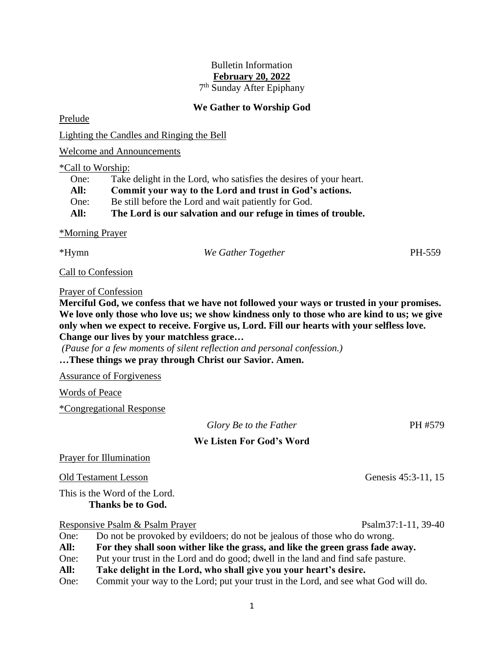# Bulletin Information **February 20, 2022**

7 th Sunday After Epiphany

# **We Gather to Worship God**

Prelude

Lighting the Candles and Ringing the Bell

Welcome and Announcements

### \*Call to Worship:

One: Take delight in the Lord, who satisfies the desires of your heart. **All: Commit your way to the Lord and trust in God's actions.** One: Be still before the Lord and wait patiently for God. **All: The Lord is our salvation and our refuge in times of trouble.**

### \*Morning Prayer

\*Hymn *We Gather Together* PH-559

*Glory Be to the Father* PH #579

Call to Confession

## Prayer of Confession

**Merciful God, we confess that we have not followed your ways or trusted in your promises. We love only those who love us; we show kindness only to those who are kind to us; we give only when we expect to receive. Forgive us, Lord. Fill our hearts with your selfless love. Change our lives by your matchless grace…**

*(Pause for a few moments of silent reflection and personal confession.)* **…These things we pray through Christ our Savior. Amen.**

Assurance of Forgiveness

Words of Peace

\*Congregational Response

| Glory Be to the Father |
|------------------------|
|------------------------|

# **We Listen For God's Word**

## Prayer for Illumination

Old Testament Lesson Genesis 45:3-11, 15

This is the Word of the Lord. **Thanks be to God.**

Responsive Psalm & Psalm Prayer Psalm37:1-11, 39-40

- One: Do not be provoked by evildoers; do not be jealous of those who do wrong.
- **All: For they shall soon wither like the grass, and like the green grass fade away.**
- One: Put your trust in the Lord and do good; dwell in the land and find safe pasture.
- **All: Take delight in the Lord, who shall give you your heart's desire.**
- One: Commit your way to the Lord; put your trust in the Lord, and see what God will do.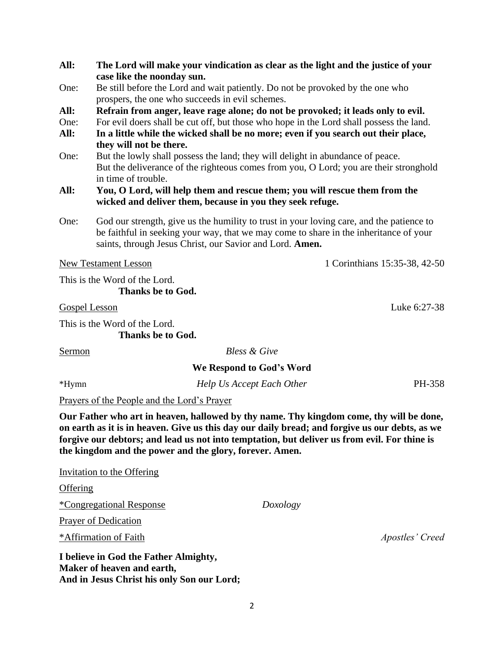|          | case like the noonday sun.                                                                                                                                                                                                                    |                                                                                                                                                                                                                                                                                           |  |  |  |
|----------|-----------------------------------------------------------------------------------------------------------------------------------------------------------------------------------------------------------------------------------------------|-------------------------------------------------------------------------------------------------------------------------------------------------------------------------------------------------------------------------------------------------------------------------------------------|--|--|--|
| One:     | Be still before the Lord and wait patiently. Do not be provoked by the one who<br>prospers, the one who succeeds in evil schemes.                                                                                                             |                                                                                                                                                                                                                                                                                           |  |  |  |
| All:     |                                                                                                                                                                                                                                               | Refrain from anger, leave rage alone; do not be provoked; it leads only to evil.                                                                                                                                                                                                          |  |  |  |
| One:     | For evil doers shall be cut off, but those who hope in the Lord shall possess the land.                                                                                                                                                       |                                                                                                                                                                                                                                                                                           |  |  |  |
| All:     |                                                                                                                                                                                                                                               | In a little while the wicked shall be no more; even if you search out their place,                                                                                                                                                                                                        |  |  |  |
|          | they will not be there.                                                                                                                                                                                                                       |                                                                                                                                                                                                                                                                                           |  |  |  |
| One:     | But the lowly shall possess the land; they will delight in abundance of peace.                                                                                                                                                                |                                                                                                                                                                                                                                                                                           |  |  |  |
|          | in time of trouble.                                                                                                                                                                                                                           | But the deliverance of the righteous comes from you, O Lord; you are their stronghold                                                                                                                                                                                                     |  |  |  |
| All:     |                                                                                                                                                                                                                                               |                                                                                                                                                                                                                                                                                           |  |  |  |
|          | You, O Lord, will help them and rescue them; you will rescue them from the<br>wicked and deliver them, because in you they seek refuge.                                                                                                       |                                                                                                                                                                                                                                                                                           |  |  |  |
| One:     | God our strength, give us the humility to trust in your loving care, and the patience to<br>be faithful in seeking your way, that we may come to share in the inheritance of your<br>saints, through Jesus Christ, our Savior and Lord. Amen. |                                                                                                                                                                                                                                                                                           |  |  |  |
|          | <b>New Testament Lesson</b>                                                                                                                                                                                                                   | 1 Corinthians 15:35-38, 42-50                                                                                                                                                                                                                                                             |  |  |  |
|          | This is the Word of the Lord.<br>Thanks be to God.                                                                                                                                                                                            |                                                                                                                                                                                                                                                                                           |  |  |  |
|          | Gospel Lesson                                                                                                                                                                                                                                 | Luke 6:27-38                                                                                                                                                                                                                                                                              |  |  |  |
|          | This is the Word of the Lord.<br>Thanks be to God.                                                                                                                                                                                            |                                                                                                                                                                                                                                                                                           |  |  |  |
| Sermon   | <b>Bless &amp; Give</b>                                                                                                                                                                                                                       |                                                                                                                                                                                                                                                                                           |  |  |  |
|          | We Respond to God's Word                                                                                                                                                                                                                      |                                                                                                                                                                                                                                                                                           |  |  |  |
| *Hymn    | Help Us Accept Each Other                                                                                                                                                                                                                     | PH-358                                                                                                                                                                                                                                                                                    |  |  |  |
|          | Prayers of the People and the Lord's Prayer                                                                                                                                                                                                   |                                                                                                                                                                                                                                                                                           |  |  |  |
|          | the kingdom and the power and the glory, forever. Amen.                                                                                                                                                                                       | Our Father who art in heaven, hallowed by thy name. Thy kingdom come, thy will be done,<br>on earth as it is in heaven. Give us this day our daily bread; and forgive us our debts, as we<br>forgive our debtors; and lead us not into temptation, but deliver us from evil. For thine is |  |  |  |
|          | <b>Invitation to the Offering</b>                                                                                                                                                                                                             |                                                                                                                                                                                                                                                                                           |  |  |  |
| Offering |                                                                                                                                                                                                                                               |                                                                                                                                                                                                                                                                                           |  |  |  |

**All: The Lord will make your vindication as clear as the light and the justice of your** 

\*Congregational Response *Doxology*

Prayer of Dedication

\*Affirmation of Faith *Apostles' Creed*

**I believe in God the Father Almighty, Maker of heaven and earth, And in Jesus Christ his only Son our Lord;**